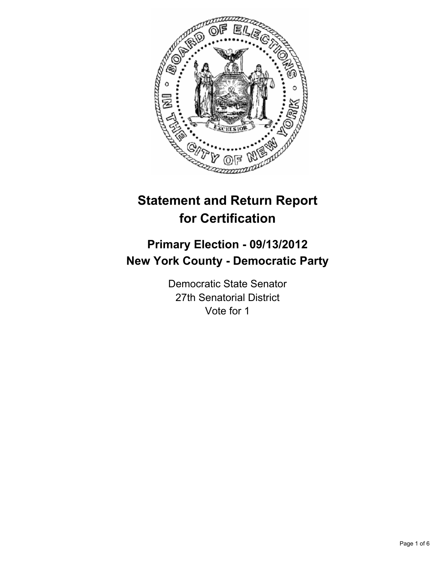

# **Statement and Return Report for Certification**

## **Primary Election - 09/13/2012 New York County - Democratic Party**

Democratic State Senator 27th Senatorial District Vote for 1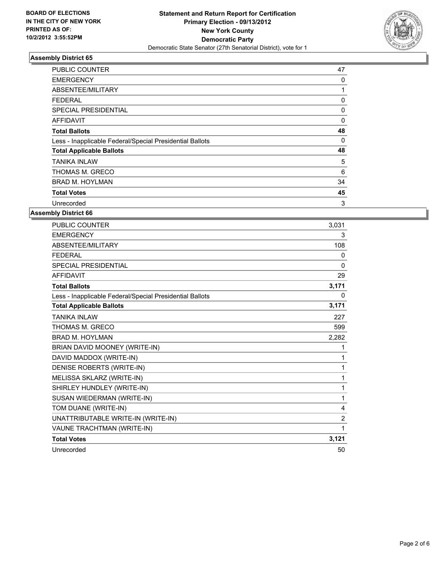

| <b>PUBLIC COUNTER</b>                                    | 47 |
|----------------------------------------------------------|----|
| <b>EMERGENCY</b>                                         | 0  |
| ABSENTEE/MILITARY                                        | 1  |
| FEDERAL                                                  | 0  |
| SPECIAL PRESIDENTIAL                                     | 0  |
| <b>AFFIDAVIT</b>                                         | 0  |
| <b>Total Ballots</b>                                     | 48 |
| Less - Inapplicable Federal/Special Presidential Ballots | 0  |
| <b>Total Applicable Ballots</b>                          | 48 |
| TANIKA INLAW                                             | 5  |
| THOMAS M. GRECO                                          | 6  |
| <b>BRAD M. HOYLMAN</b>                                   | 34 |
| <b>Total Votes</b>                                       | 45 |
| Unrecorded                                               | 3  |

| <b>PUBLIC COUNTER</b>                                    | 3.031          |
|----------------------------------------------------------|----------------|
| <b>EMERGENCY</b>                                         | 3              |
| ABSENTEE/MILITARY                                        | 108            |
| <b>FEDERAL</b>                                           | 0              |
| <b>SPECIAL PRESIDENTIAL</b>                              | $\mathbf{0}$   |
| <b>AFFIDAVIT</b>                                         | 29             |
| <b>Total Ballots</b>                                     | 3,171          |
| Less - Inapplicable Federal/Special Presidential Ballots | 0              |
| <b>Total Applicable Ballots</b>                          | 3,171          |
| <b>TANIKA INLAW</b>                                      | 227            |
| THOMAS M. GRECO                                          | 599            |
| <b>BRAD M. HOYLMAN</b>                                   | 2,282          |
| BRIAN DAVID MOONEY (WRITE-IN)                            | 1              |
| DAVID MADDOX (WRITE-IN)                                  | 1              |
| DENISE ROBERTS (WRITE-IN)                                | 1              |
| MELISSA SKLARZ (WRITE-IN)                                | 1              |
| SHIRLEY HUNDLEY (WRITE-IN)                               | 1              |
| SUSAN WIEDERMAN (WRITE-IN)                               | 1              |
| TOM DUANE (WRITE-IN)                                     | 4              |
| UNATTRIBUTABLE WRITE-IN (WRITE-IN)                       | $\overline{2}$ |
| VAUNE TRACHTMAN (WRITE-IN)                               | 1              |
| <b>Total Votes</b>                                       | 3,121          |
| Unrecorded                                               | 50             |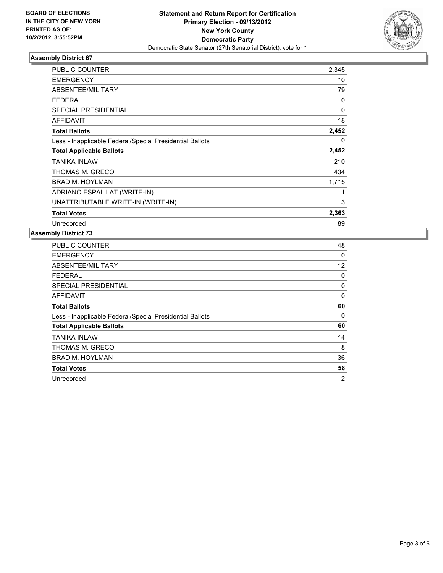

| <b>PUBLIC COUNTER</b>                                    | 2,345        |
|----------------------------------------------------------|--------------|
| <b>EMERGENCY</b>                                         | 10           |
| ABSENTEE/MILITARY                                        | 79           |
| <b>FEDERAL</b>                                           | 0            |
| <b>SPECIAL PRESIDENTIAL</b>                              | $\mathbf{0}$ |
| <b>AFFIDAVIT</b>                                         | 18           |
| <b>Total Ballots</b>                                     | 2,452        |
| Less - Inapplicable Federal/Special Presidential Ballots | 0            |
|                                                          |              |
| <b>Total Applicable Ballots</b>                          | 2,452        |
| TANIKA INLAW                                             | 210          |
| THOMAS M. GRECO                                          | 434          |
| <b>BRAD M. HOYLMAN</b>                                   | 1,715        |
| ADRIANO ESPAILLAT (WRITE-IN)                             | 1            |
| UNATTRIBUTABLE WRITE-IN (WRITE-IN)                       | 3            |
| <b>Total Votes</b>                                       | 2,363        |

| <b>PUBLIC COUNTER</b>                                    | 48             |
|----------------------------------------------------------|----------------|
| <b>EMERGENCY</b>                                         | 0              |
| ABSENTEE/MILITARY                                        | 12             |
| FEDERAL                                                  | 0              |
| <b>SPECIAL PRESIDENTIAL</b>                              | 0              |
| AFFIDAVIT                                                | 0              |
| <b>Total Ballots</b>                                     | 60             |
| Less - Inapplicable Federal/Special Presidential Ballots | 0              |
| <b>Total Applicable Ballots</b>                          | 60             |
| TANIKA INLAW                                             | 14             |
| THOMAS M. GRECO                                          | 8              |
| <b>BRAD M. HOYLMAN</b>                                   | 36             |
| <b>Total Votes</b>                                       | 58             |
| Unrecorded                                               | $\overline{2}$ |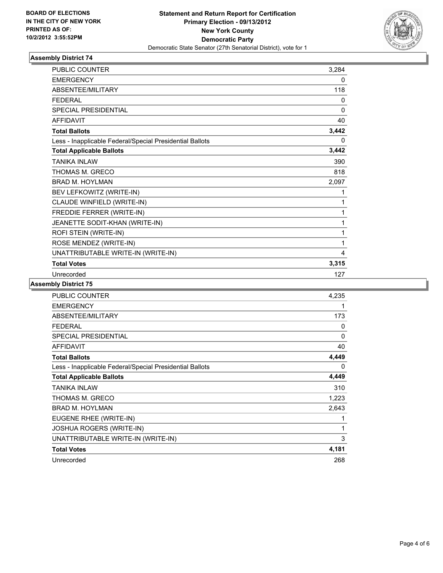

| PUBLIC COUNTER                                           | 3,284        |
|----------------------------------------------------------|--------------|
| <b>EMERGENCY</b>                                         | 0            |
| ABSENTEE/MILITARY                                        | 118          |
| <b>FEDERAL</b>                                           | 0            |
| <b>SPECIAL PRESIDENTIAL</b>                              | $\mathbf{0}$ |
| <b>AFFIDAVIT</b>                                         | 40           |
| <b>Total Ballots</b>                                     | 3,442        |
| Less - Inapplicable Federal/Special Presidential Ballots | 0            |
| <b>Total Applicable Ballots</b>                          | 3,442        |
| <b>TANIKA INLAW</b>                                      | 390          |
| THOMAS M. GRECO                                          | 818          |
| <b>BRAD M. HOYLMAN</b>                                   | 2,097        |
| BEV LEFKOWITZ (WRITE-IN)                                 | 1            |
| CLAUDE WINFIELD (WRITE-IN)                               | 1            |
| FREDDIE FERRER (WRITE-IN)                                | 1            |
| JEANETTE SODIT-KHAN (WRITE-IN)                           | 1            |
| ROFI STEIN (WRITE-IN)                                    | 1            |
| ROSE MENDEZ (WRITE-IN)                                   | 1            |
| UNATTRIBUTABLE WRITE-IN (WRITE-IN)                       | 4            |
| <b>Total Votes</b>                                       | 3,315        |
| Unrecorded                                               | 127          |

| <b>PUBLIC COUNTER</b>                                    | 4,235 |
|----------------------------------------------------------|-------|
| <b>EMERGENCY</b>                                         | 1     |
| ABSENTEE/MILITARY                                        | 173   |
| <b>FEDERAL</b>                                           | 0     |
| <b>SPECIAL PRESIDENTIAL</b>                              | 0     |
| <b>AFFIDAVIT</b>                                         | 40    |
| <b>Total Ballots</b>                                     | 4,449 |
| Less - Inapplicable Federal/Special Presidential Ballots | 0     |
| <b>Total Applicable Ballots</b>                          | 4,449 |
| <b>TANIKA INLAW</b>                                      | 310   |
| THOMAS M. GRECO                                          | 1,223 |
| <b>BRAD M. HOYLMAN</b>                                   | 2,643 |
| EUGENE RHEE (WRITE-IN)                                   | 1     |
| <b>JOSHUA ROGERS (WRITE-IN)</b>                          | 1     |
| UNATTRIBUTABLE WRITE-IN (WRITE-IN)                       | 3     |
| <b>Total Votes</b>                                       | 4,181 |
| Unrecorded                                               | 268   |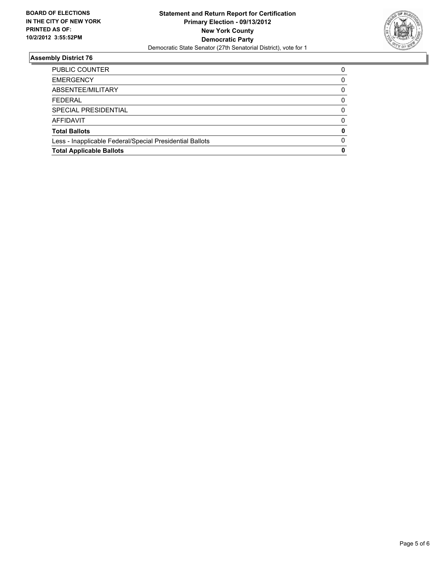

| PUBLIC COUNTER                                           | 0            |
|----------------------------------------------------------|--------------|
| <b>EMERGENCY</b>                                         | 0            |
| ABSENTEE/MILITARY                                        | 0            |
| <b>FEDERAL</b>                                           | 0            |
| SPECIAL PRESIDENTIAL                                     | 0            |
| <b>AFFIDAVIT</b>                                         | <sup>0</sup> |
| <b>Total Ballots</b>                                     | 0            |
| Less - Inapplicable Federal/Special Presidential Ballots | $\Omega$     |
| <b>Total Applicable Ballots</b>                          | 0            |